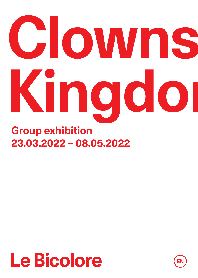# **Group exhibition Clowns' Kingdom**

### **23.03.2022 – 08.05.2022**

### **Le Bicolore**

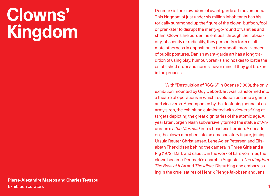### **Clowns' Kingdom**

Denmark is the clowndom of avant-garde art movements. This kingdom of just under six million inhabitants has historically summoned up the figure of the clown, buffoon, fool or prankster to disrupt the merry-go-round of vanities and sham. Clowns are borderline entities: through their absurdity, obscenity or radicality, they personify a form of ultimate otherness in opposition to the smooth moral veneer of public postures. Danish avant-garde art has a long tradition of using play, humour, pranks and hoaxes to jostle the established order and norms, never mind if they get broken in the process.

With "Destruktion af RSG-6" in Odense (1963), the only exhibition mounted by Guy Debord, art was transformed into a theatre of operations in which revolution became a game and vice versa. Accompanied by the deafening sound of an army siren, the exhibition culminated with viewers firing at targets depicting the great dignitaries of the atomic age. A year later, Jorgen Nash subversively turned the statue of Andersen's *Little Mermaid* into a headless heroine. A decade on, the clown morphed into an emasculatory figure, joining Ursula Reuter Christiansen, Lene Adler Petersen and Elisabeth Therkildsen behind the camera in Three Girls and a Pig (1972). Dark and caustic in the work of Lars von Trier, the clown became Denmark's anarchic Auguste in *The Kingdom, The Boss of It All* and *The Idiots.* Disturbing and embarrassing in the cruel satires of Henrik Plenge Jakobsen and Jens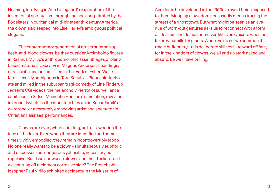Haaning, terrifying in Ann Lislegaard's exploration of the invention of spiritualism through the hoax perpetrated by the Fox sisters in puritanical mid-nineteenth-century America, the clown also seeped into Lise Harlev's ambiguous political slogans.

The contemporary generation of artists summon up flesh-and-blood clowns, be they outsider Arcimboldo figures in Rasmus Myrup's anthropomorphic assemblages of plantbased materials, *faux naïf* in Magnus Andersen's paintings, narcissistic and helium-filled in the work of Esben Weile Kjær, sexually ambiguous in Tora Schultz's Pinocchio, inchoate and mired in the suburban tragi-comedy of Line Finderup Jensen's CGI videos, the melancholy Pierrot of surveillance capitalism in Sidsel Meineche Hansen's simulation, revealed in broad daylight as the monsters they are in Sahar Jamili's wardrobe, or alternately embodying artist and spectator in Christian Falsnaes' performances.

Clowns are everywhere - in drag, as trolls, wearing the face of the Joker. Even when they are identified and sometimes vividly embodied, they remain incontrovertibly taboo. No one really wants to be a clown - simultaneously euphoric and dispossessed, dangerous yet risible, necessary but repulsive. But if we showcase clowns and their tricks, aren't we shutting off their most corrosive side? The French philosopher Paul Virilio exhibited accidents in the Museum of

Accidents he developed in the 1990s to avoid being exposed to them. Mapping clowndom necessarily means tracing the streets of a ghost town. But what might be seen as an avenue of worn-out gestures asks us to reconnect with a form of idealism and delude ourselves like Don Quixote when he takes windmills for giants. When we do so, we summon this tragic buffoonery - this deliberate silliness - to ward off fate, for in the kingdom of clowns, we all end up stark naked and absurd, be we knave or king.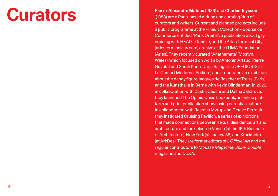**Curve-Alexandre Mateos** (1989) and **Charles Teyssou**<br>(1988) are a Paris-based writing and curating/duo of (1988) are a Paris-based writing and curating/duo of curators and writers. Current and planned projects include a public programme at the Pinault Collection - Bourse de Commerce entitled "Paris Orbital", a publication about gay cruising with HEAD - Genève, and the Arles Terminal City [\(arlesterminalcity.com](http://arlesterminalcity.com)) archive at the LUMA Foundation (Arles). They recently curated "Anathemata"(Mostyn, Wales), which focused on works by Antonin Artaud, Pierre Guyotat and Sarah Kane, Darja Bajagić's GOREGEOUS at Le Confort Moderne (Poitiers) and co-curated an exhibition about the dandy figure Jacques de Bascher at Treize (Paris) and the Kunsthalle in Berne with Kevin Blinderman. In 2020, in collaboration with Dustin Cauchi and Dasha Zaharova, they launched The Opioid Crisis Lookbook, an online platform and print publication showcasing narcotics culture. In collaboration with Rasmus Myrup and Octave Perrault, they instigated Cruising Pavilion, a series of exhibitions that made connections between sexual dissidence, art and architecture and took place in Venice (at the 16th Biennale of Architecture), New York (at Ludlow 38) and Stockholm (at ArkDes). They are former editors of *L'Officiel Art* and are regular contributors to *Mousse Magazine, Spike, Double* magazine and *CURA*.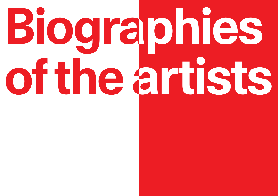# **Biographies of the artists**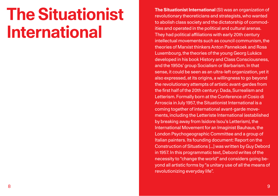### **The Situationist International**

**The Situationist International** (SI) was an organization of revolutionary theoreticians and strategists, who wanted to abolish class society and the dictatorship of commodities and operated in the political and cultural arenas. They had political affiliations with early 20th century intellectual movements such as council communism, the theories of Marxist thinkers Anton Pannekoek and Rosa Luxembourg, the theories of the young Georg Lukács developed in his book History and Class Consciousness, and the 1950s' group Socialism or Barbarism. In that sense, it could be seen as an ultra-left organization, yet it also expressed, at its origins, a willingness to go beyond the revolutionary attempts of artistic avant-gardes from the first half of the 20th century: Dada, Surrealism and Letterism. Formally born at the Conference of Cosio di Arroscia in July 1957, the Situationist International is a coming together of international avant-garde movements, including the Letteriste International (established by breaking away from Isidore Isou's Letterism), the International Movement for an Imaginist Bauhaus, the London Psychogeographic Committee and a group of Italian painters. Its founding document: Report on the Construction of Situations […] was written by Guy Debord in 1957. In this programmatic text, Debord writes of the necessity to "change the world" and considers going beyond all artistic forms by "a unitary use of all the means of revolutionizing everyday life".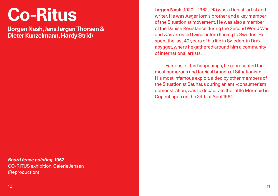### **Co-Ritus**

**(Jørgen Nash, Jens Jørgen Thorsen & Dieter Kunzelmann, Hardy Strid)**

*Board fence painting,* **1962** CO-RITUS exhibition, Galerie Jensen (Reproduction)

**Jørgen Nash** (1920 – 1962, DK) was a Danish artist and writer. He was Asger Jorn's brother and a key member of the Situationist movement. He was also a member of the Danish Resistance during the Second World War and was arrested twice before fleeing to Sweden. He spent the last 40 years of his life in Sweden, in Drakabygget, where he gathered around him a community of international artists.

Famous for his happenings, he represented the most humorous and farcical branch of Situationism. His most infamous exploit, aided by other members of the Situationist Bauhaus during an anti-consumerism demonstration, was to decapitate the Little Mermaid in Copenhagen on the 24th of April 1964.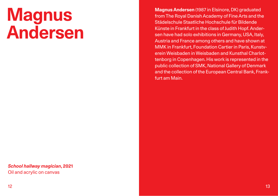### **Magnus Andersen**

**Magnus Andersen** (1987 in Elsinore, DK) graduated from The Royal Danish Academy of Fine Arts and the Städelschule Staatliche Hochschule für Bildende Künste in Frankfurt in the class of Judith Hopf. Andersen have had solo exhibitions in Germany, USA, Italy, Austria and France among others and have shown at MMK in Frankfurt, Foundation Cartier in Paris, Kunstverein Weisbaden in Weisbaden and Kunsthal Charlottenborg in Copenhagen. His work is represented in the public collection of SMK, National Gallery of Denmark and the collection of the European Central Bank, Frankfurt am Main.

*School hallway magician***, 2021** Oil and acrylic on canvas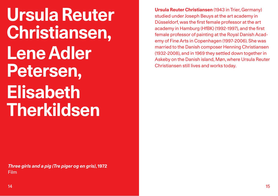**Ursula Reuter Christiansen, Lene Adler Petersen, Elisabeth Therkildsen**

**Ursula Reuter Christiansen** (1943 in Trier, Germany) studied under Joseph Beuys at the art academy in Düsseldorf, was the first female professor at the art academy in Hamburg (HfBK) (1992-1997), and the first female professor of painting at the Royal Danish Academy of Fine Arts in Copenhagen (1997-2006). She was married to the Danish composer Henning Christiansen (1932-2008), and in 1969 they settled down together in Askeby on the Danish island, Møn, where Ursula Reuter Christiansen still lives and works today.

*Three girls and a pig (Tre piger og en gris)***, 1972**  Film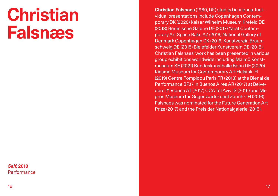### **Christian Falsnæs**

*Self,* **2018 Performance**  **Christian Falsnaes** (1980, DK) studied in Vienna. Individual presentations include Copenhagen Contemporary DK (2020) Kaiser Wilhelm Museum Krefeld DE (2018) Berlinische Galerie DE (2017) Yarat Contemporary Art Space Baku AZ (2016) National Gallery of Denmark Copenhagen DK (2016) Kunstverein Braunschweig DE (2015) Bielefelder Kunstverein DE (2015). Christian Falsnaes' work has been presented in various group exhibitions worldwide including Malmö Konstmuseum SE (2021) Bundeskunsthalle Bonn DE (2020) Kiasma Museum for Contemporary Art Helsinki FI (2019) Centre Pompidou Paris FR (2018) at the Bienal de Performance BP.17 in Buenos Aires AR (2017) at Belvedere 21 Vienna AT (2017) CCA Tel Aviv IS (2016) and Migros Museum für Gegenwartskunst Zurich CH (2016). Falsnaes was nominated for the Future Generation Art Prize (2017) and the Preis der Nationalgalerie (2015).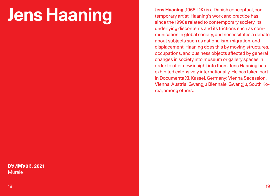# **Jens Haaning** (1965, DK) is a Danish conceptual, con-<br>temporary artist. Haaning's work and practice has<br>since the 1990s related to contemporary society, its

 **, 2021 DANMARK** Murale

temporary artist. Haaning's work and practice has since the 1990s related to contemporary society, its underlying discontents and its frictions such as communication in global society, and necessitates a debate about subjects such as nationalism, migration, and displacement. Haaning does this by moving structures, occupations, and business objects affected by general changes in society into museum or gallery spaces in order to offer new insight into them. Jens Haaning has exhibited extensively internationally. He has taken part in Documenta XI, Kassel, Germany; Vienna Secession, Vienna, Austria; Gwangju Biennale, Gwangju, South Korea, among others.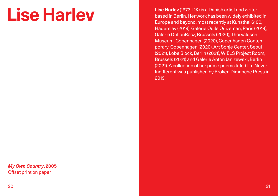# **Lise Harlev**

*My Own Country***, 2005** Offset print on paper

**Lise Harlev** (1973, DK) is a Danish artist and writer based in Berlin. Her work has been widely exhibited in Europe and beyond, most recently at Kunsthal 6100, Haderslev (2019), Galerie Odile Ouizeman, Paris (2019), Galerie DuflonRacz, Brussels (2020), Thorvaldsen Museum, Copenhagen (2020), Copenhagen Contemporary, Copenhagen (2020), Art Sonje Center, Seoul (2021), Lobe Block, Berlin (2021), WIELS Project Room, Brussels (2021) and Galerie Anton Janizewski, Berlin (2021). A collection of her prose poems titled I'm Never Indifferent was published by Broken Dimanche Press in 2019.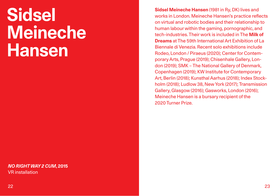### **Sidsel Meineche Hansen**

### *NO RIGHT WAY 2 CUM***, 2015** VR installation

**Sidsel Meineche Hansen** (1981 in Ry, DK) lives and works in London. Meineche Hansen's practice reflects on virtual and robotic bodies and their relationship to human labour within the gaming, pornographic, and tech-industries. Their work is included in The **Milk of Dreams** at The 59th International Art Exhibition of La Biennale di Venezia. Recent solo exhibitions include Rodeo, London / Piraeus (2020); Center for Contemporary Arts, Prague (2019); Chisenhale Gallery, London (2019); SMK – The National Gallery of Denmark, Copenhagen (2019); KW Institute for Contemporary Art, Berlin (2018); Kunsthal Aarhus (2018); Index Stockholm (2018); Ludlow 38, New York (2017); Transmission Gallery, Glasgow (2016); Gasworks, London (2016); Meineche Hansen is a bursary recipient of the 2020 Turner Prize.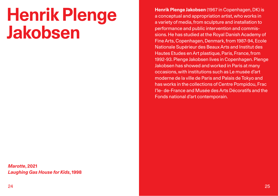### **Henrik Plenge Jakobsen**

*Marotte***, 2021** *Laughing Gas House for Kids***, 1998** **Henrik Plenge Jakobsen** (1967 in Copenhagen, DK) is a conceptual and appropriation artist, who works in a variety of media, from sculpture and installation to performance and public intervention and commissions. He has studied at the Royal Danish Academy of Fine Arts, Copenhagen, Denmark, from 1987-94, Ecole Nationale Supérieur des Beaux Arts and Institut des Hautes Etudes en Art plastique, Paris, France, from 1992-93. Plenge Jakobsen lives in Copenhagen. Plenge Jakobsen has showed and worked in Paris at many occasions, with institutions such as Le musée d'art moderne de la ville de Paris and Palais de Tokyo and has works in the collections of Centre Pompidou, Frac I'le- de-France and Musée des Arts Décoratifs and the Fonds national d'art contemporain.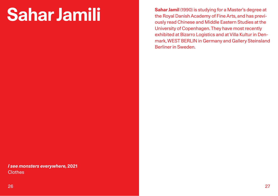Sahar Jamil (1990) is studying for a Master's degree at<br>the Royal Danish Academy of Fine Arts, and has previthe Royal Danish Academy of Fine Arts, and has previously read Chinese and Middle Eastern Studies at the University of Copenhagen. They have most recently exhibited at Bizarro Logistics and at Villa Kultur in Denmark, WEST BERLIN in Germany and Gallery Steinsland Berliner in Sweden.

*I see monsters everywhere,* **2021 Clothes**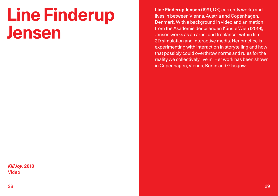### **Line Finderup Jensen**

### *Kill Joy***, 2018** Video

**Line Finderup Jensen** (1991, DK) currently works and lives in between Vienna, Austria and Copenhagen, Denmark. With a background in video and animation from the Akademie der bilenden Künste Wien (2019), Jensen works as an artist and freelancer within film, 3D simulation and interactive media. Her practice is experimenting with interaction in storytelling and how that possibly could overthrow norms and rules for the reality we collectively live in. Her work has been shown in Copenhagen, Vienna, Berlin and Glasgow.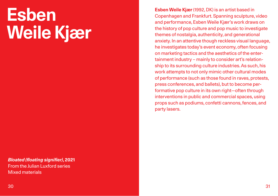# **Esben Weile Kjær**

*Bloated (floating signifier)***, 2021** From the Julian Luxford series Mixed materials

**Esben Weile Kjær** (1992, DK) is an artist based in Copenhagen and Frankfurt. Spanning sculpture, video and performance, Esben Weile Kjær's work draws on the history of pop culture and pop music to investigate themes of nostalgia, authenticity, and generational anxiety. In an attentive though reckless visual language, he investigates today's event economy, often focusing on marketing tactics and the aesthetics of the entertainment industry – mainly to consider art's relationship to its surrounding culture industries. As such, his work attempts to not only mimic other cultural modes of performance (such as those found in raves, protests, press conferences, and ballets), but to become performative pop culture in its own right—often through interventions in public and commercial spaces, using props such as podiums, confetti cannons, fences, and party lasers.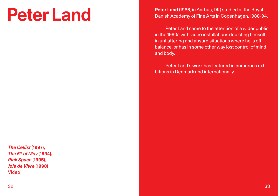### **Peter Land**

*The Cellist* **(1997),** *The 5th of May* **(1994),** *Pink Space* **(1995),** *Joie de Vivre* **(1998)** Video

**Peter Land** (1966, in Aarhus, DK) studied at the Royal Danish Academy of Fine Arts in Copenhagen, 1988-94.

Peter Land came to the attention of a wider public in the 1990s with video installations depicting himself in unflattering and absurd situations where he is off balance, or has in some other way lost control of mind and body.

Peter Land's work has featured in numerous exhibitions in Denmark and internationally.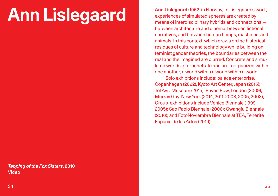# **Ann Lislegaard**

*Tapping of the Fox Sisters***, 2010** Video

**Ann Lislegaard** (1962, in Norway) In Lislegaard's work, experiences of simulated spheres are created by means of interdisciplinary hybrids and connections between architecture and cinema, between fictional narratives, and between human beings, machines, and animals. In this context, which draws on the historical residues of culture and technology while building on feminist gender theories, the boundaries between the real and the imagined are blurred. Concrete and simulated worlds interpenetrate and are reorganized within one another, a world within a world within a world.

Solo exhibitions include: palace enterprise, Copenhagen (2022), Kyoto Art Center, Japan (2015); Tel Aviv Museum (2015); Raven Row, London (2009); Murray Guy, New York (2014, 2011, 2008, 2005, 2003); Group-exhibitions include Venice Biennale (1999, 2005); Sao Paolo Biennale (2006); Gwangju Biennale (2016); and FotoNoviembre Biennale at TEA, Tenerife Espacio de las Artes (2019).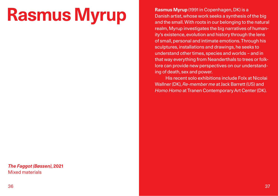# **Rasmus Myrup**

*The Faggot (Bøssen)***, 2021** Mixed materials

**Rasmus Myrup** (1991 in Copenhagen, DK) is a Danish artist, whose work seeks a synthesis of the big and the small. With roots in our belonging to the natural realm, Myrup investigates the big narratives of humanity's existence, evolution and history through the lens of small, personal and intimate emotions. Through his sculptures, installations and drawings, he seeks to understand other times, species and worlds – and in that way everything from Neanderthals to trees or folklore can provide new perspectives on our understanding of death, sex and power.

His recent solo exhibitions include Folx at Nicolai Wallner (DK), *Re-member me* at Jack Barrett (US) and *Homo Homo* at Tranen Contemporary Art Center (DK).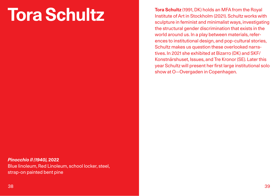# **Tora Schultz**

**Tora Schultz** (1991, DK) holds an MFA from the Royal Institute of Art in Stockholm (2021). Schultz works with sculpture in feminist and minimalist ways, investigating the structural gender discrimination that exists in the world around us. In a play between materials, references to institutional design, and pop-cultural stories, Schultz makes us question these overlooked narratives. In 2021 she exhibited at Bizarro (DK) and SKF/ Konstnärshuset, Issues, and Tre Kronor (SE). Later this year Schultz will present her first large institutional solo show at O—Overgaden in Copenhagen.

### *Pinocchio II (1940),* **2022**

Blue linoleum, Red Linoleum, school locker, steel, strap-on painted bent pine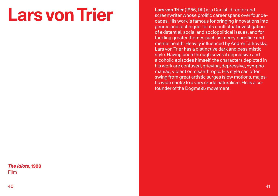### **Lars von Trier**

**Lars von Trier** (1956, DK) is a Danish director and screenwriter whose prolific career spans over four decades. His work is famous for bringing innovations into genres and technique, for its conflictual investigation of existential, social and sociopolitical issues, and for tackling greater themes such as mercy, sacrifice and mental health. Heavily influenced by Andrei Tarkovsky, Lars von Trier has a distinctive dark and pessimistic style. Having been through several depressive and alcoholic episodes himself, the characters depicted in his work are confused, grieving, depressive, nymphomaniac, violent or misanthropic. His style can often swing from great artistic surges (slow motions, majestic wide shots) to a very crude naturalism. He is a cofounder of the Dogme95 movement.

### *The Idiots***, 1998** Film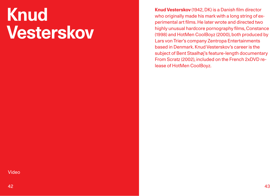# **Knud Vesterskov**

**Knud Vesterskov** (1942, DK) is a Danish film director who originally made his mark with a long string of experimental art films. He later wrote and directed two highly unusual hardcore pornography films, Constance (1998) and HotMen CoolBoyz (2000), both produced by Lars von Trier's company Zentropa Entertainments based in Denmark. Knud Vesterskov's career is the subject of Bent Staalhøj's feature-length documentary From Scratz (2002), included on the French 2xDVD release of HotMen CoolBoyz.

### Video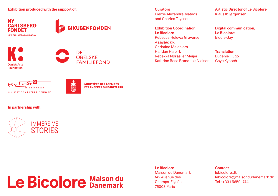**Exhibition produced with the support of:**

**NY CARLSBERG FONDET NEW CARLSBERG FOUNDATION** 











**MINISTÈRE DES AFFAIRES ÉTRANCÈRES DU DANEMARK** 

### **In partnership with:**



Le Bicolore Maison du

**Curators** Pierre-Alexandre Mateos and Charles Teyssou

**Exhibition Coordination, Le Bicolore** Rebecca Helewa Graversen *Assisted by:* Christine Melchiors Halfdan Halbirk Rebekka Nørsøller Meijer Kathrine Rose Brøndholt Nielsen

**Artistic Director of Le Bicolore** Klaus Ib Jørgensen

**Digital communication, Le Bicolore:** Elodie Gay

**Translation** Eugenie Hugo Gaye Kynoch

**Le Bicolore** Maison du Danemark 142 Avenue des Champs-Élysées 75008 Paris

**Contact**

lebicolore.dk lebicolore@maisondudanemark.dk Tel : +33 1 5659 1744